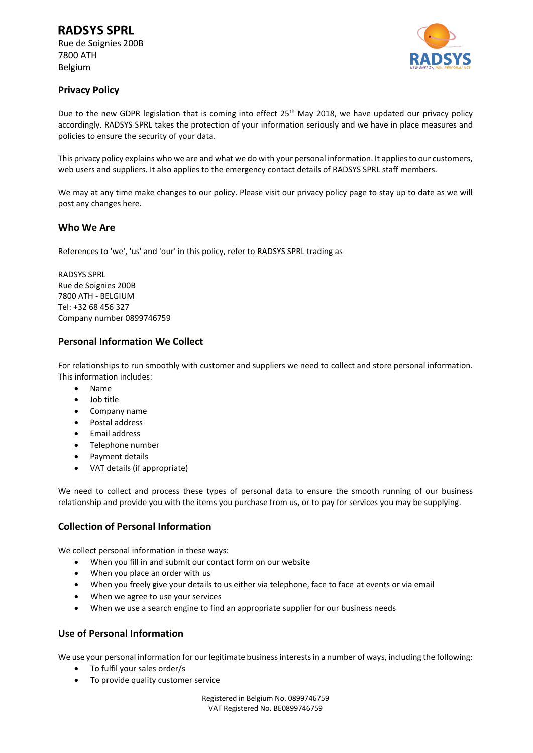Rue de Soignies 200B 7800 ATH Belgium



# **Privacy Policy**

Due to the new GDPR legislation that is coming into effect 25<sup>th</sup> May 2018, we have updated our privacy policy accordingly. RADSYS SPRL takes the protection of your information seriously and we have in place measures and policies to ensure the security of your data.

This privacy policy explains who we are and what we do with your personal information. It applies to our customers, web users and suppliers. It also applies to the emergency contact details of RADSYS SPRL staff members.

We may at any time make changes to our policy. Please visit our privacy policy page to stay up to date as we will post any changes here.

#### **Who We Are**

References to 'we', 'us' and 'our' in this policy, refer to RADSYS SPRL trading as

RADSYS SPRL Rue de Soignies 200B 7800 ATH - BELGIUM Tel: +32 68 456 327 Company number 0899746759

# **Personal Information We Collect**

For relationships to run smoothly with customer and suppliers we need to collect and store personal information. This information includes:

- Name
- Job title
- Company name
- Postal address
- Email address
- Telephone number
- Payment details
- VAT details (if appropriate)

We need to collect and process these types of personal data to ensure the smooth running of our business relationship and provide you with the items you purchase from us, or to pay for services you may be supplying.

# **Collection of Personal Information**

We collect personal information in these ways:

- When you fill in and submit our contact form on our website
- When you place an order with us
- When you freely give your details to us either via telephone, face to face at events or via email
- When we agree to use your services
- When we use a search engine to find an appropriate supplier for our business needs

# **Use of Personal Information**

We use your personal information for our legitimate business interests in a number of ways, including the following:

- To fulfil your sales order/s
- To provide quality customer service

Registered in Belgium No. 0899746759 VAT Registered No. BE0899746759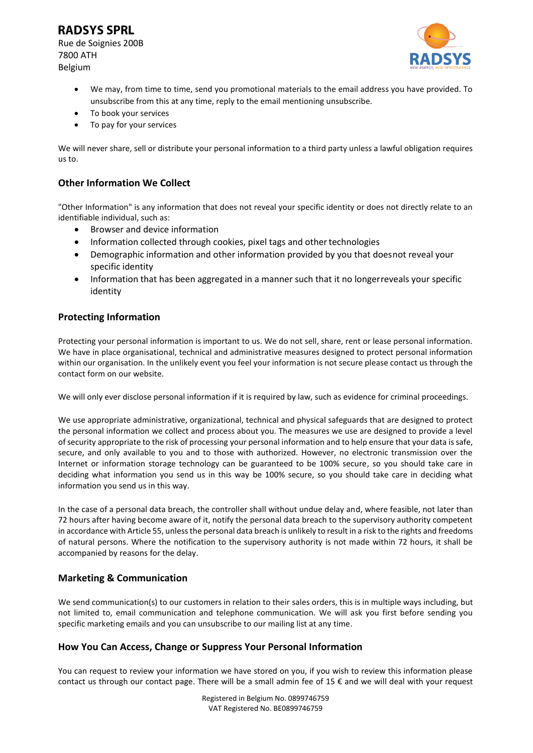# **RADSYS SPRL**

Rue de Soignies 200B 7800 ATH Belgium



- We may, from time to time, send you promotional materials to the email address you have provided. To unsubscribe from this at any time, reply to the email mentioning unsubscribe.
- To book your services
- To pay for your services

We will never share, sell or distribute your personal information to a third party unless a lawful obligation requires us to.

# **Other Information We Collect**

"Other Information" is any information that does not reveal your specific identity or does not directly relate to an identifiable individual, such as:

- Browser and device information
- Information collected through cookies, pixel tags and other technologies
- Demographic information and other information provided by you that doesnot reveal your specific identity
- Information that has been aggregated in a manner such that it no longerreveals your specific identity

# **Protecting Information**

Protecting your personal information is important to us. We do not sell, share, rent or lease personal information. We have in place organisational, technical and administrative measures designed to protect personal information within our organisation. In the unlikely event you feel your information is not secure please contact us through the contact form on our website.

We will only ever disclose personal information if it is required by law, such as evidence for criminal proceedings.

We use appropriate administrative, organizational, technical and physical safeguards that are designed to protect the personal information we collect and process about you. The measures we use are designed to provide a level of security appropriate to the risk of processing your personal information and to help ensure that your data is safe, secure, and only available to you and to those with authorized. However, no electronic transmission over the Internet or information storage technology can be guaranteed to be 100% secure, so you should take care in deciding what information you send us in this way be 100% secure, so you should take care in deciding what information you send us in this way.

In the case of a personal data breach, the controller shall without undue delay and, where feasible, not later than 72 hours after having become aware of it, notify the personal data breach to the supervisory authority competent in accordance with Article 55, unless the personal data breach is unlikely to result in a risk to the rights and freedoms of natural persons. Where the notification to the supervisory authority is not made within 72 hours, it shall be accompanied by reasons for the delay.

# **Marketing & Communication**

We send communication(s) to our customers in relation to their sales orders, this is in multiple ways including, but not limited to, email communication and telephone communication. We will ask you first before sending you specific marketing emails and you can unsubscribe to our mailing list at any time.

# **How You Can Access, Change or Suppress Your Personal Information**

You can request to review your information we have stored on you, if you wish to review this information please contact us through our contact page. There will be a small admin fee of 15 € and we will deal with your request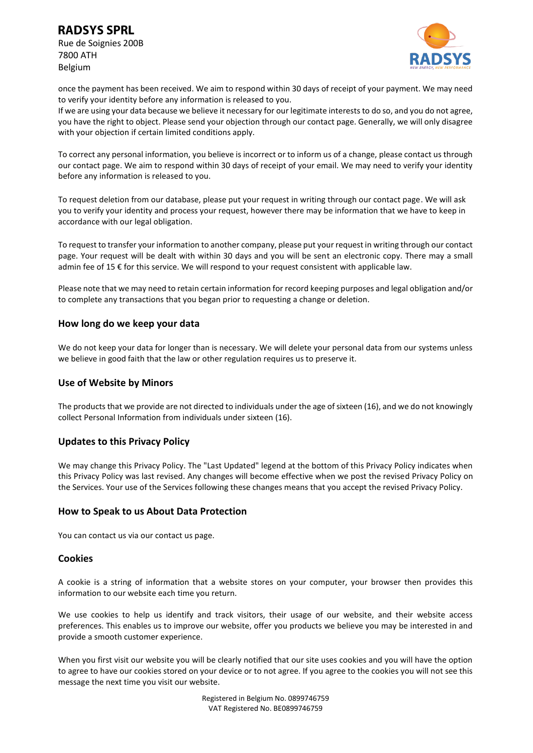**RADSYS SPRL** 

Rue de Soignies 200B 7800 ATH Belgium



once the payment has been received. We aim to respond within 30 days of receipt of your payment. We may need to verify your identity before any information is released to you.

If we are using your data because we believe it necessary for our legitimate interests to do so, and you do not agree, you have the right to object. Please send your objection through our contact page. Generally, we will only disagree with your objection if certain limited conditions apply.

To correct any personal information, you believe is incorrect or to inform us of a change, please contact us through our contact page. We aim to respond within 30 days of receipt of your email. We may need to verify your identity before any information is released to you.

To request deletion from our database, please put your request in writing through our contact page. We will ask you to verify your identity and process your request, however there may be information that we have to keep in accordance with our legal obligation.

To request to transfer your information to another company, please put your request in writing through our contact page. Your request will be dealt with within 30 days and you will be sent an electronic copy. There may a small admin fee of 15 € for this service. We will respond to your request consistent with applicable law.

Please note that we may need to retain certain information for record keeping purposes and legal obligation and/or to complete any transactions that you began prior to requesting a change or deletion.

#### **How long do we keep your data**

We do not keep your data for longer than is necessary. We will delete your personal data from our systems unless we believe in good faith that the law or other regulation requires us to preserve it.

#### **Use of Website by Minors**

The products that we provide are not directed to individuals under the age of sixteen (16), and we do not knowingly collect Personal Information from individuals under sixteen (16).

#### **Updates to this Privacy Policy**

We may change this Privacy Policy. The "Last Updated" legend at the bottom of this Privacy Policy indicates when this Privacy Policy was last revised. Any changes will become effective when we post the revised Privacy Policy on the Services. Your use of the Services following these changes means that you accept the revised Privacy Policy.

#### **How to Speak to us About Data Protection**

You can contact us via our contact us page.

#### **Cookies**

A cookie is a string of information that a website stores on your computer, your browser then provides this information to our website each time you return.

We use cookies to help us identify and track visitors, their usage of our website, and their website access preferences. This enables us to improve our website, offer you products we believe you may be interested in and provide a smooth customer experience.

When you first visit our website you will be clearly notified that our site uses cookies and you will have the option to agree to have our cookies stored on your device or to not agree. If you agree to the cookies you will not see this message the next time you visit our website.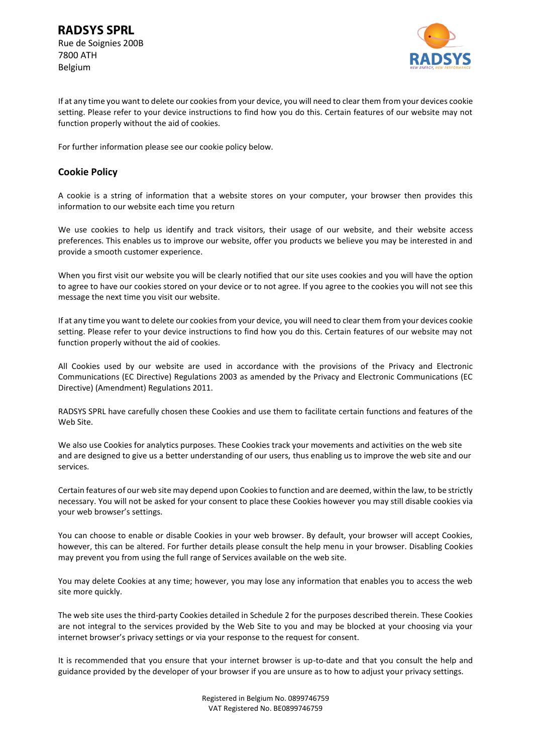

If at any time you want to delete our cookies from your device, you will need to clear them from your devices cookie setting. Please refer to your device instructions to find how you do this. Certain features of our website may not function properly without the aid of cookies.

For further information please see our cookie policy below.

#### **Cookie Policy**

A cookie is a string of information that a website stores on your computer, your browser then provides this information to our website each time you return

We use cookies to help us identify and track visitors, their usage of our website, and their website access preferences. This enables us to improve our website, offer you products we believe you may be interested in and provide a smooth customer experience.

When you first visit our website you will be clearly notified that our site uses cookies and you will have the option to agree to have our cookies stored on your device or to not agree. If you agree to the cookies you will not see this message the next time you visit our website.

If at any time you want to delete our cookies from your device, you will need to clear them from your devices cookie setting. Please refer to your device instructions to find how you do this. Certain features of our website may not function properly without the aid of cookies.

All Cookies used by our website are used in accordance with the provisions of the Privacy and Electronic Communications (EC Directive) Regulations 2003 as amended by the Privacy and Electronic Communications (EC Directive) (Amendment) Regulations 2011.

RADSYS SPRL have carefully chosen these Cookies and use them to facilitate certain functions and features of the Web Site.

We also use Cookies for analytics purposes. These Cookies track your movements and activities on the web site and are designed to give us a better understanding of our users, thus enabling us to improve the web site and our services.

Certain features of our web site may depend upon Cookies to function and are deemed, within the law, to be strictly necessary. You will not be asked for your consent to place these Cookies however you may still disable cookies via your web browser's settings.

You can choose to enable or disable Cookies in your web browser. By default, your browser will accept Cookies, however, this can be altered. For further details please consult the help menu in your browser. Disabling Cookies may prevent you from using the full range of Services available on the web site.

You may delete Cookies at any time; however, you may lose any information that enables you to access the web site more quickly.

The web site uses the third-party Cookies detailed in Schedule 2 for the purposes described therein. These Cookies are not integral to the services provided by the Web Site to you and may be blocked at your choosing via your internet browser's privacy settings or via your response to the request for consent.

It is recommended that you ensure that your internet browser is up-to-date and that you consult the help and guidance provided by the developer of your browser if you are unsure as to how to adjust your privacy settings.